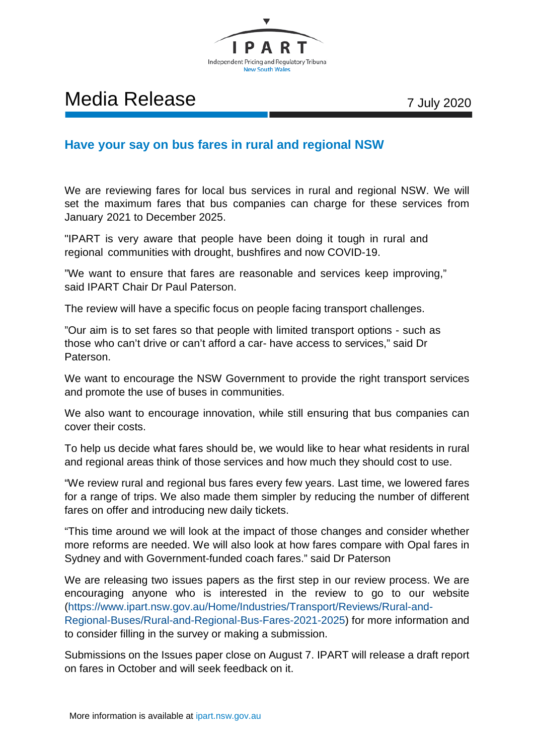

## Media Release 7 July 2020

## **Have your say on bus fares in rural and regional NSW**

We are reviewing fares for local bus services in rural and regional NSW. We will set the maximum fares that bus companies can charge for these services from January 2021 to December 2025.

"IPART is very aware that people have been doing it tough in rural and regional communities with drought, bushfires and now COVID-19.

"We want to ensure that fares are reasonable and services keep improving," said IPART Chair Dr Paul Paterson.

The review will have a specific focus on people facing transport challenges.

"Our aim is to set fares so that people with limited transport options - such as those who can't drive or can't afford a car- have access to services," said Dr Paterson.

We want to encourage the NSW Government to provide the right transport services and promote the use of buses in communities.

We also want to encourage innovation, while still ensuring that bus companies can cover their costs.

To help us decide what fares should be, we would like to hear what residents in rural and regional areas think of those services and how much they should cost to use.

"We review rural and regional bus fares every few years. Last time, we lowered fares for a range of trips. We also made them simpler by reducing the number of different fares on offer and introducing new daily tickets.

"This time around we will look at the impact of those changes and consider whether more reforms are needed. We will also look at how fares compare with Opal fares in Sydney and with Government-funded coach fares." said Dr Paterson

We are releasing two issues papers as the first step in our review process. We are encouraging anyone who is interested in the review to go to our website [\(https://www.ipart.nsw.gov.au/Home/Industries/Transport/Reviews/Rural-and-](https://www.ipart.nsw.gov.au/Home/Industries/Transport/Reviews/Rural-and-Regional-Buses/Rural-and-Regional-Bus-Fares-2021-2025)[Regional-Buses/Rural-and-Regional-Bus-Fares-2021-2025\)](https://www.ipart.nsw.gov.au/Home/Industries/Transport/Reviews/Rural-and-Regional-Buses/Rural-and-Regional-Bus-Fares-2021-2025) for more information and to consider filling in the survey or making a submission.

Submissions on the Issues paper close on August 7. IPART will release a draft report on fares in October and will seek feedback on it.